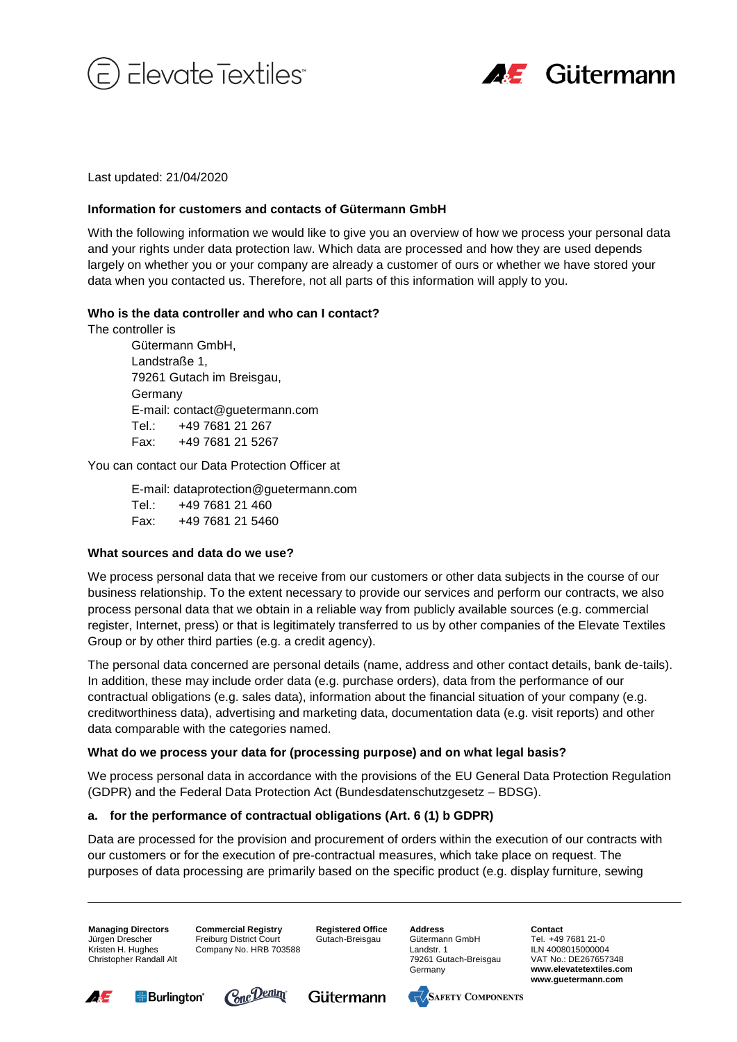



Last updated: 21/04/2020

#### **Information for customers and contacts of Gütermann GmbH**

With the following information we would like to give you an overview of how we process your personal data and your rights under data protection law. Which data are processed and how they are used depends largely on whether you or your company are already a customer of ours or whether we have stored your data when you contacted us. Therefore, not all parts of this information will apply to you.

## **Who is the data controller and who can I contact?**

The controller is

Gütermann GmbH, Landstraße 1, 79261 Gutach im Breisgau, Germany E-mail: contact@guetermann.com Tel.: +49 7681 21 267 Fax: +49 7681 21 5267

You can contact our Data Protection Officer at

E-mail: dataprotection@guetermann.com Tel.: +49 7681 21 460 Fax: +49 7681 21 5460

#### **What sources and data do we use?**

We process personal data that we receive from our customers or other data subjects in the course of our business relationship. To the extent necessary to provide our services and perform our contracts, we also process personal data that we obtain in a reliable way from publicly available sources (e.g. commercial register, Internet, press) or that is legitimately transferred to us by other companies of the Elevate Textiles Group or by other third parties (e.g. a credit agency).

The personal data concerned are personal details (name, address and other contact details, bank de-tails). In addition, these may include order data (e.g. purchase orders), data from the performance of our contractual obligations (e.g. sales data), information about the financial situation of your company (e.g. creditworthiness data), advertising and marketing data, documentation data (e.g. visit reports) and other data comparable with the categories named.

# **What do we process your data for (processing purpose) and on what legal basis?**

We process personal data in accordance with the provisions of the EU General Data Protection Regulation (GDPR) and the Federal Data Protection Act (Bundesdatenschutzgesetz – BDSG).

# **a. for the performance of contractual obligations (Art. 6 (1) b GDPR)**

Data are processed for the provision and procurement of orders within the execution of our contracts with our customers or for the execution of pre-contractual measures, which take place on request. The purposes of data processing are primarily based on the specific product (e.g. display furniture, sewing

**Managing Directors** Jürgen Drescher Kristen H. Hughes Christopher Randall Alt **Commercial Registry** Freiburg District Court Company No. HRB 703588

**Registered Office** Gutach-Breisgau

**Address** Gütermann GmbH Landstr. 1 79261 Gutach-Breisgau Germany

**Contact** Tel. +49 7681 21-0 ILN 4008015000004 VAT No.: DE267657348 **www.elevatetextiles.com www.guetermann.com**









 $\sqrt{\sqrt{S}}$ AFETY COMPONENTS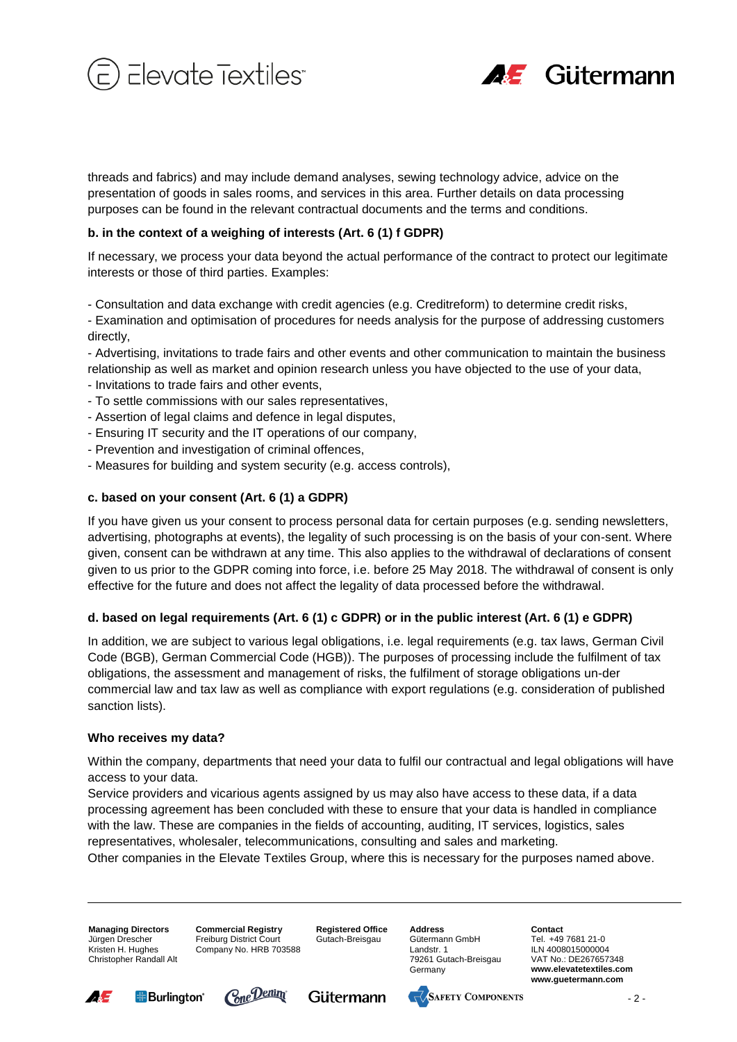



presentation of goods in sales rooms, and services in this area. Further details on data processing purposes can be found in the relevant contractual documents and the terms and conditions.

## **b. in the context of a weighing of interests (Art. 6 (1) f GDPR)**

If necessary, we process your data beyond the actual performance of the contract to protect our legitimate interests or those of third parties. Examples:

- Consultation and data exchange with credit agencies (e.g. Creditreform) to determine credit risks,

- Examination and optimisation of procedures for needs analysis for the purpose of addressing customers directly,

- Advertising, invitations to trade fairs and other events and other communication to maintain the business relationship as well as market and opinion research unless you have objected to the use of your data,

- Invitations to trade fairs and other events,
- To settle commissions with our sales representatives,
- Assertion of legal claims and defence in legal disputes,
- Ensuring IT security and the IT operations of our company,
- Prevention and investigation of criminal offences,
- Measures for building and system security (e.g. access controls),

## **c. based on your consent (Art. 6 (1) a GDPR)**

If you have given us your consent to process personal data for certain purposes (e.g. sending newsletters, advertising, photographs at events), the legality of such processing is on the basis of your con-sent. Where given, consent can be withdrawn at any time. This also applies to the withdrawal of declarations of consent given to us prior to the GDPR coming into force, i.e. before 25 May 2018. The withdrawal of consent is only effective for the future and does not affect the legality of data processed before the withdrawal.

# **d. based on legal requirements (Art. 6 (1) c GDPR) or in the public interest (Art. 6 (1) e GDPR)**

directs) and fabrics) and may include demand analyses, sewing technology advice on the property and may include the may include the may include the may include the may include the may include the may include the may includ In addition, we are subject to various legal obligations, i.e. legal requirements (e.g. tax laws, German Civil Code (BGB), German Commercial Code (HGB)). The purposes of processing include the fulfilment of tax obligations, the assessment and management of risks, the fulfilment of storage obligations un-der commercial law and tax law as well as compliance with export regulations (e.g. consideration of published sanction lists).

#### **Who receives my data?**

Within the company, departments that need your data to fulfil our contractual and legal obligations will have access to your data.

Service providers and vicarious agents assigned by us may also have access to these data, if a data processing agreement has been concluded with these to ensure that your data is handled in compliance with the law. These are companies in the fields of accounting, auditing, IT services, logistics, sales representatives, wholesaler, telecommunications, consulting and sales and marketing. Other companies in the Elevate Textiles Group, where this is necessary for the purposes named above.

**Managing Directors** Jürgen Drescher Kristen H. Hughes Christopher Randall Alt **Commercial Registry** Freiburg District Court Company No. HRB 703588 **Registered Office** Gutach-Breisgau

**Address** Gütermann GmbH Landstr. 1 79261 Gutach-Breisgau Germany

**Contact** Tel. +49 7681 21-0 ILN 4008015000004 VAT No.: DE267657348 **www.elevatetextiles.com www.guetermann.com**









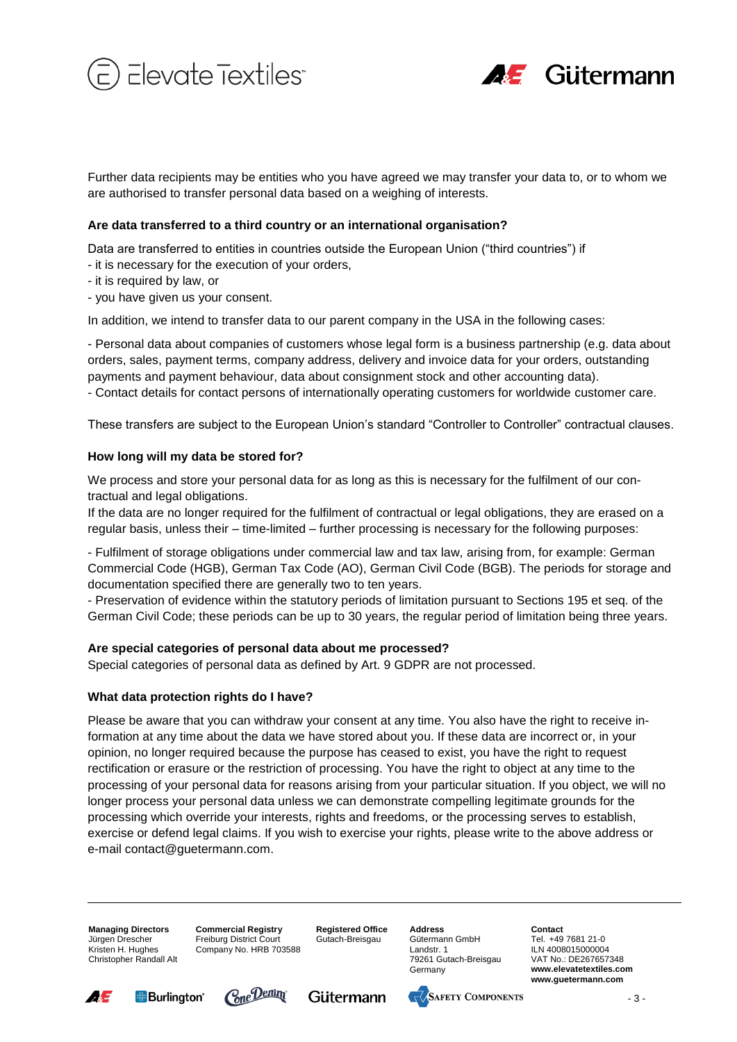



are authorised to transfer personal data based on a weighing of interests.

## **Are data transferred to a third country or an international organisation?**

Data are transferred to entities in countries outside the European Union ("third countries") if

- it is necessary for the execution of your orders,
- it is required by law, or
- you have given us your consent.

In addition, we intend to transfer data to our parent company in the USA in the following cases:

- Personal data about companies of customers whose legal form is a business partnership (e.g. data about orders, sales, payment terms, company address, delivery and invoice data for your orders, outstanding payments and payment behaviour, data about consignment stock and other accounting data).

- Contact details for contact persons of internationally operating customers for worldwide customer care.

These transfers are subject to the European Union's standard "Controller to Controller" contractual clauses.

## **How long will my data be stored for?**

We process and store your personal data for as long as this is necessary for the fulfilment of our contractual and legal obligations.

If the data are no longer required for the fulfilment of contractual or legal obligations, they are erased on a regular basis, unless their – time-limited – further processing is necessary for the following purposes:

- Fulfilment of storage obligations under commercial law and tax law, arising from, for example: German Commercial Code (HGB), German Tax Code (AO), German Civil Code (BGB). The periods for storage and documentation specified there are generally two to ten years.

- Preservation of evidence within the statutory periods of limitation pursuant to Sections 195 et seq. of the German Civil Code; these periods can be up to 30 years, the regular period of limitation being three years.

#### **Are special categories of personal data about me processed?**

Special categories of personal data as defined by Art. 9 GDPR are not processed.

#### **What data protection rights do I have?**

Further data recipients may be entitled only have a growthow in the principal control of the state records of the may transfer of the state records of the may transfer of the function of points are transfer of the functio Please be aware that you can withdraw your consent at any time. You also have the right to receive information at any time about the data we have stored about you. If these data are incorrect or, in your opinion, no longer required because the purpose has ceased to exist, you have the right to request rectification or erasure or the restriction of processing. You have the right to object at any time to the processing of your personal data for reasons arising from your particular situation. If you object, we will no longer process your personal data unless we can demonstrate compelling legitimate grounds for the processing which override your interests, rights and freedoms, or the processing serves to establish, exercise or defend legal claims. If you wish to exercise your rights, please write to the above address or e-mail contact@guetermann.com.

**Managing Directors** Jürgen Drescher Kristen H. Hughes Christopher Randall Alt **Commercial Registry** Freiburg District Court Company No. HRB 703588 **Registered Office** Gutach-Breisgau

**Address** Gütermann GmbH Landstr. 1 79261 Gutach-Breisgau Germany

**Contact** Tel. +49 7681 21-0 ILN 4008015000004 VAT No.: DE267657348 **www.elevatetextiles.com www.guetermann.com**